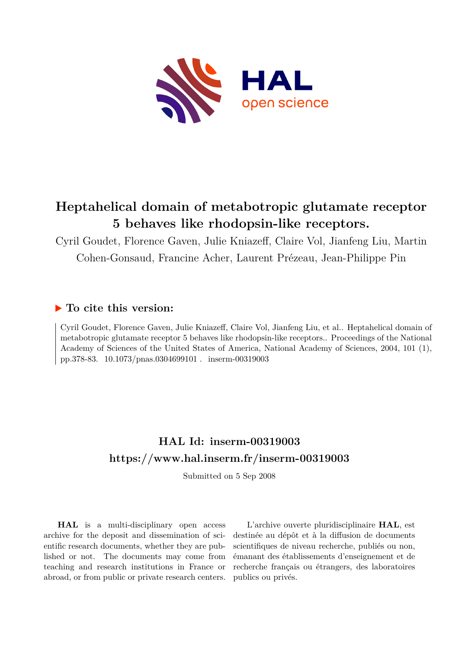

# **Heptahelical domain of metabotropic glutamate receptor 5 behaves like rhodopsin-like receptors.**

Cyril Goudet, Florence Gaven, Julie Kniazeff, Claire Vol, Jianfeng Liu, Martin Cohen-Gonsaud, Francine Acher, Laurent Prézeau, Jean-Philippe Pin

## **To cite this version:**

Cyril Goudet, Florence Gaven, Julie Kniazeff, Claire Vol, Jianfeng Liu, et al.. Heptahelical domain of metabotropic glutamate receptor 5 behaves like rhodopsin-like receptors.. Proceedings of the National Academy of Sciences of the United States of America, National Academy of Sciences, 2004, 101 (1), pp.378-83. 10.1073/pnas.0304699101 . inserm-00319003

# **HAL Id: inserm-00319003 <https://www.hal.inserm.fr/inserm-00319003>**

Submitted on 5 Sep 2008

**HAL** is a multi-disciplinary open access archive for the deposit and dissemination of scientific research documents, whether they are published or not. The documents may come from teaching and research institutions in France or abroad, or from public or private research centers.

L'archive ouverte pluridisciplinaire **HAL**, est destinée au dépôt et à la diffusion de documents scientifiques de niveau recherche, publiés ou non, émanant des établissements d'enseignement et de recherche français ou étrangers, des laboratoires publics ou privés.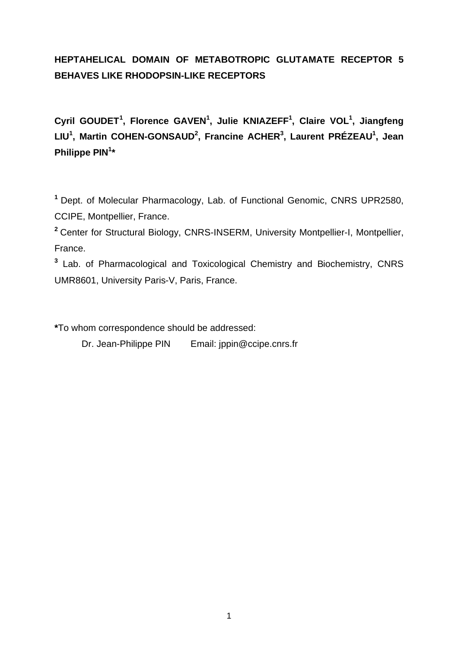## **HEPTAHELICAL DOMAIN OF METABOTROPIC GLUTAMATE RECEPTOR 5 BEHAVES LIKE RHODOPSIN-LIKE RECEPTORS**

**Cyril GOUDET<sup>1</sup> , Florence GAVEN<sup>1</sup> , Julie KNIAZEFF<sup>1</sup> , Claire VOL<sup>1</sup> , Jiangfeng LIU<sup>1</sup> , Martin COHEN-GONSAUD<sup>2</sup> , Francine ACHER<sup>3</sup> , Laurent PRÉZEAU<sup>1</sup> , Jean Philippe PIN<sup>1</sup> \***

**<sup>1</sup>** Dept. of Molecular Pharmacology, Lab. of Functional Genomic, CNRS UPR2580, CCIPE, Montpellier, France.

**<sup>2</sup>** Center for Structural Biology, CNRS-INSERM, University Montpellier-I, Montpellier, France.

**3** Lab. of Pharmacological and Toxicological Chemistry and Biochemistry, CNRS UMR8601, University Paris-V, Paris, France.

**\***To whom correspondence should be addressed:

Dr. Jean-Philippe PIN Email: jppin@ccipe.cnrs.fr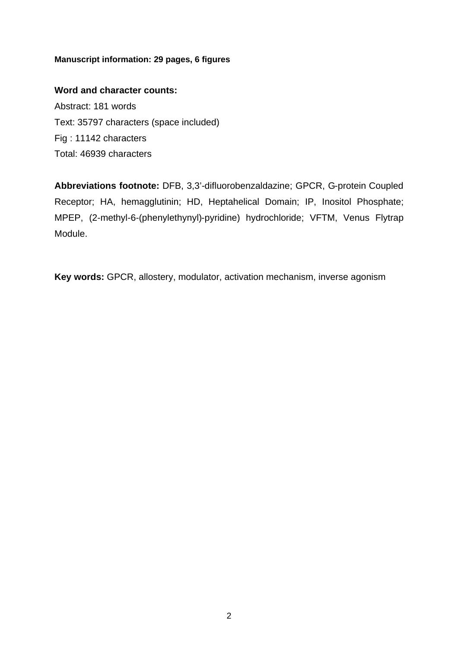### **Manuscript information: 29 pages, 6 figures**

### **Word and character counts:**

Abstract: 181 words Text: 35797 characters (space included) Fig : 11142 characters Total: 46939 characters

**Abbreviations footnote:** DFB, 3,3'-difluorobenzaldazine; GPCR, G-protein Coupled Receptor; HA, hemagglutinin; HD, Heptahelical Domain; IP, Inositol Phosphate; MPEP, (2-methyl-6-(phenylethynyl)-pyridine) hydrochloride; VFTM, Venus Flytrap Module.

**Key words:** GPCR, allostery, modulator, activation mechanism, inverse agonism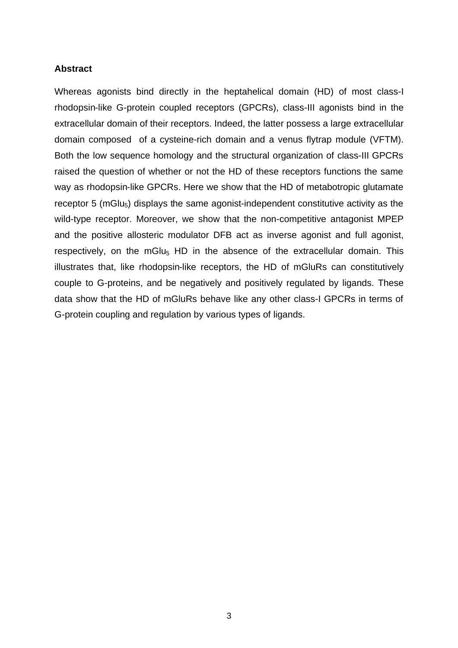### **Abstract**

Whereas agonists bind directly in the heptahelical domain (HD) of most class-I rhodopsin-like G-protein coupled receptors (GPCRs), class-III agonists bind in the extracellular domain of their receptors. Indeed, the latter possess a large extracellular domain composed of a cysteine-rich domain and a venus flytrap module (VFTM). Both the low sequence homology and the structural organization of class-III GPCRs raised the question of whether or not the HD of these receptors functions the same way as rhodopsin-like GPCRs. Here we show that the HD of metabotropic glutamate receptor 5 ( $mGlu<sub>5</sub>$ ) displays the same agonist-independent constitutive activity as the wild-type receptor. Moreover, we show that the non-competitive antagonist MPEP and the positive allosteric modulator DFB act as inverse agonist and full agonist, respectively, on the mGlu<sub>5</sub> HD in the absence of the extracellular domain. This illustrates that, like rhodopsin-like receptors, the HD of mGluRs can constitutively couple to G-proteins, and be negatively and positively regulated by ligands. These data show that the HD of mGluRs behave like any other class-I GPCRs in terms of G-protein coupling and regulation by various types of ligands.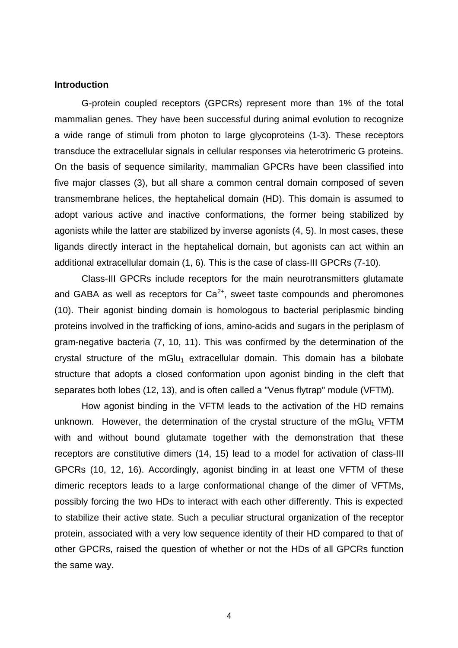#### **Introduction**

G-protein coupled receptors (GPCRs) represent more than 1% of the total mammalian genes. They have been successful during animal evolution to recognize a wide range of stimuli from photon to large glycoproteins (1-3). These receptors transduce the extracellular signals in cellular responses via heterotrimeric G proteins. On the basis of sequence similarity, mammalian GPCRs have been classified into five major classes (3), but all share a common central domain composed of seven transmembrane helices, the heptahelical domain (HD). This domain is assumed to adopt various active and inactive conformations, the former being stabilized by agonists while the latter are stabilized by inverse agonists (4, 5). In most cases, these ligands directly interact in the heptahelical domain, but agonists can act within an additional extracellular domain (1, 6). This is the case of class-III GPCRs (7-10).

Class-III GPCRs include receptors for the main neurotransmitters glutamate and GABA as well as receptors for  $Ca^{2+}$ , sweet taste compounds and pheromones (10). Their agonist binding domain is homologous to bacterial periplasmic binding proteins involved in the trafficking of ions, amino-acids and sugars in the periplasm of gram-negative bacteria (7, 10, 11). This was confirmed by the determination of the crystal structure of the mGlu<sub>1</sub> extracellular domain. This domain has a bilobate structure that adopts a closed conformation upon agonist binding in the cleft that separates both lobes (12, 13), and is often called a "Venus flytrap" module (VFTM).

How agonist binding in the VFTM leads to the activation of the HD remains unknown. However, the determination of the crystal structure of the mGlu<sub>1</sub> VFTM with and without bound glutamate together with the demonstration that these receptors are constitutive dimers (14, 15) lead to a model for activation of class-III GPCRs (10, 12, 16). Accordingly, agonist binding in at least one VFTM of these dimeric receptors leads to a large conformational change of the dimer of VFTMs, possibly forcing the two HDs to interact with each other differently. This is expected to stabilize their active state. Such a peculiar structural organization of the receptor protein, associated with a very low sequence identity of their HD compared to that of other GPCRs, raised the question of whether or not the HDs of all GPCRs function the same way.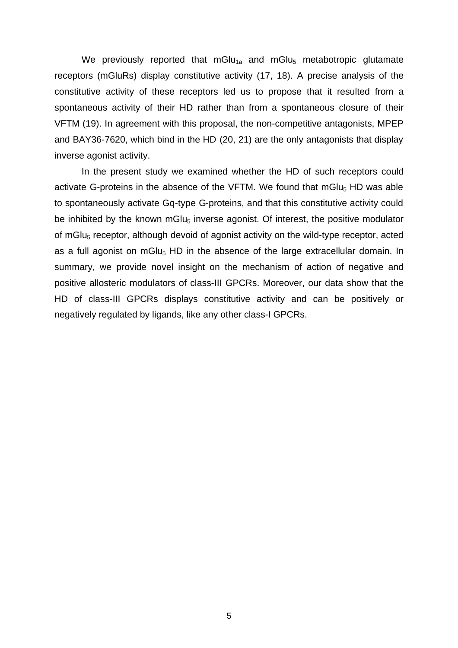We previously reported that mGlu<sub>1a</sub> and mGlu<sub>5</sub> metabotropic glutamate receptors (mGluRs) display constitutive activity (17, 18). A precise analysis of the constitutive activity of these receptors led us to propose that it resulted from a spontaneous activity of their HD rather than from a spontaneous closure of their VFTM (19). In agreement with this proposal, the non-competitive antagonists, MPEP and BAY36-7620, which bind in the HD (20, 21) are the only antagonists that display inverse agonist activity.

In the present study we examined whether the HD of such receptors could activate G-proteins in the absence of the VFTM. We found that  $mGlu<sub>5</sub> HD$  was able to spontaneously activate Gq-type G-proteins, and that this constitutive activity could be inhibited by the known mGlu<sub>5</sub> inverse agonist. Of interest, the positive modulator of mGlu<sub>5</sub> receptor, although devoid of agonist activity on the wild-type receptor, acted as a full agonist on mGlu $_5$  HD in the absence of the large extracellular domain. In summary, we provide novel insight on the mechanism of action of negative and positive allosteric modulators of class-III GPCRs. Moreover, our data show that the HD of class-III GPCRs displays constitutive activity and can be positively or negatively regulated by ligands, like any other class-I GPCRs.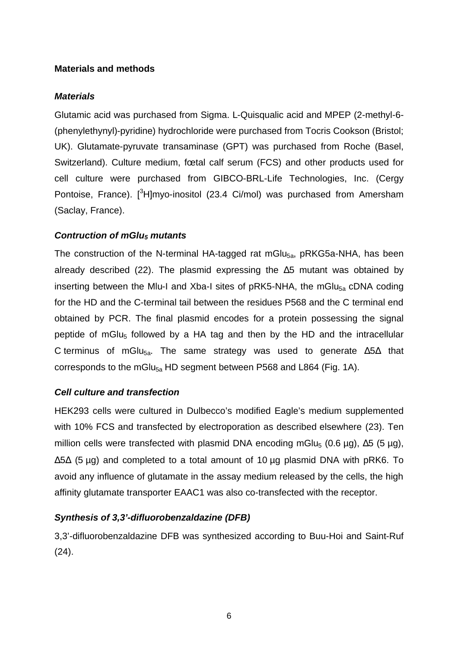## **Materials and methods**

## *Materials*

Glutamic acid was purchased from Sigma. L-Quisqualic acid and MPEP (2-methyl-6- (phenylethynyl)-pyridine) hydrochloride were purchased from Tocris Cookson (Bristol; UK). Glutamate-pyruvate transaminase (GPT) was purchased from Roche (Basel, Switzerland). Culture medium, fœtal calf serum (FCS) and other products used for cell culture were purchased from GIBCO-BRL-Life Technologies, Inc. (Cergy Pontoise, France). [<sup>3</sup>H]myo-inositol (23.4 Ci/mol) was purchased from Amersham (Saclay, France).

## *Contruction of mGlu5 mutants*

The construction of the N-terminal HA-tagged rat mGlu $_{5a}$ , pRKG5a-NHA, has been already described (22). The plasmid expressing the  $\Delta 5$  mutant was obtained by inserting between the Mlu-I and Xba-I sites of pRK5-NHA, the mGlu<sub>5a</sub> cDNA coding for the HD and the C-terminal tail between the residues P568 and the C terminal end obtained by PCR. The final plasmid encodes for a protein possessing the signal peptide of mGlu<sub>5</sub> followed by a HA tag and then by the HD and the intracellular C terminus of mGlu<sub>5a</sub>. The same strategy was used to generate  $\Delta$ 5 $\Delta$  that corresponds to the mGlu<sub>5a</sub> HD segment between P568 and L864 (Fig. 1A).

## *Cell culture and transfection*

HEK293 cells were cultured in Dulbecco's modified Eagle's medium supplemented with 10% FCS and transfected by electroporation as described elsewhere (23). Ten million cells were transfected with plasmid DNA encoding mGlu<sub>5</sub> (0.6 µg),  $\Delta$ 5 (5 µg),  $\Delta$ 5 $\Delta$  (5 µg) and completed to a total amount of 10 µg plasmid DNA with pRK6. To avoid any influence of glutamate in the assay medium released by the cells, the high affinity glutamate transporter EAAC1 was also co-transfected with the receptor.

## *Synthesis of 3,3'-difluorobenzaldazine (DFB)*

3,3'-difluorobenzaldazine DFB was synthesized according to Buu-Hoi and Saint-Ruf (24).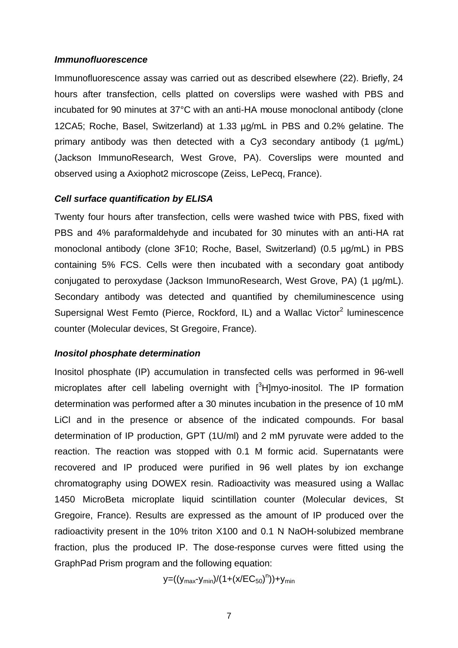#### *Immunofluorescence*

Immunofluorescence assay was carried out as described elsewhere (22). Briefly, 24 hours after transfection, cells platted on coverslips were washed with PBS and incubated for 90 minutes at 37°C with an anti-HA mouse monoclonal antibody (clone 12CA5; Roche, Basel, Switzerland) at 1.33 µg/mL in PBS and 0.2% gelatine. The primary antibody was then detected with a Cy3 secondary antibody (1 µg/mL) (Jackson ImmunoResearch, West Grove, PA). Coverslips were mounted and observed using a Axiophot2 microscope (Zeiss, LePecq, France).

#### *Cell surface quantification by ELISA*

Twenty four hours after transfection, cells were washed twice with PBS, fixed with PBS and 4% paraformaldehyde and incubated for 30 minutes with an anti-HA rat monoclonal antibody (clone 3F10; Roche, Basel, Switzerland) (0.5 µg/mL) in PBS containing 5% FCS. Cells were then incubated with a secondary goat antibody conjugated to peroxydase (Jackson ImmunoResearch, West Grove, PA) (1 µg/mL). Secondary antibody was detected and quantified by chemiluminescence using Supersignal West Femto (Pierce, Rockford, IL) and a Wallac Victor<sup>2</sup> luminescence counter (Molecular devices, St Gregoire, France).

#### *Inositol phosphate determination*

Inositol phosphate (IP) accumulation in transfected cells was performed in 96-well microplates after cell labeling overnight with [<sup>3</sup>H]myo-inositol. The IP formation determination was performed after a 30 minutes incubation in the presence of 10 mM LiCl and in the presence or absence of the indicated compounds. For basal determination of IP production, GPT (1U/ml) and 2 mM pyruvate were added to the reaction. The reaction was stopped with 0.1 M formic acid. Supernatants were recovered and IP produced were purified in 96 well plates by ion exchange chromatography using DOWEX resin. Radioactivity was measured using a Wallac 1450 MicroBeta microplate liquid scintillation counter (Molecular devices, St Gregoire, France). Results are expressed as the amount of IP produced over the radioactivity present in the 10% triton X100 and 0.1 N NaOH-solubized membrane fraction, plus the produced IP. The dose-response curves were fitted using the GraphPad Prism program and the following equation:

y=((y<sub>max</sub>-y<sub>min</sub>)/(1+(x/EC<sub>50</sub>)<sup>n</sup>))+y<sub>min</sub>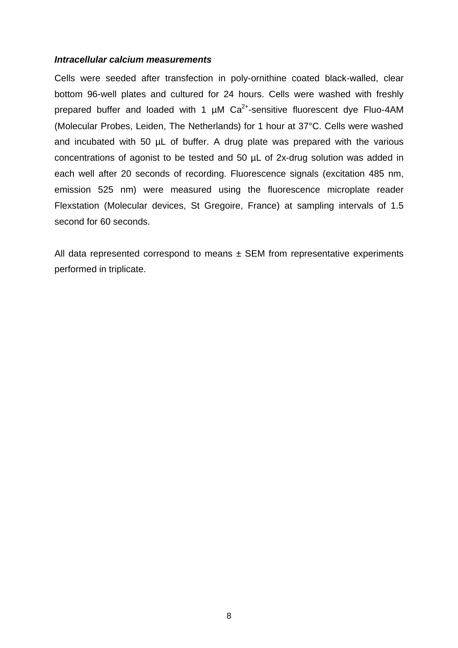#### *Intracellular calcium measurements*

Cells were seeded after transfection in poly-ornithine coated black-walled, clear bottom 96-well plates and cultured for 24 hours. Cells were washed with freshly prepared buffer and loaded with 1  $\mu$ M Ca<sup>2+</sup>-sensitive fluorescent dye Fluo-4AM (Molecular Probes, Leiden, The Netherlands) for 1 hour at 37°C. Cells were washed and incubated with 50 µL of buffer. A drug plate was prepared with the various concentrations of agonist to be tested and 50 µL of 2x-drug solution was added in each well after 20 seconds of recording. Fluorescence signals (excitation 485 nm, emission 525 nm) were measured using the fluorescence microplate reader Flexstation (Molecular devices, St Gregoire, France) at sampling intervals of 1.5 second for 60 seconds.

All data represented correspond to means  $\pm$  SEM from representative experiments performed in triplicate.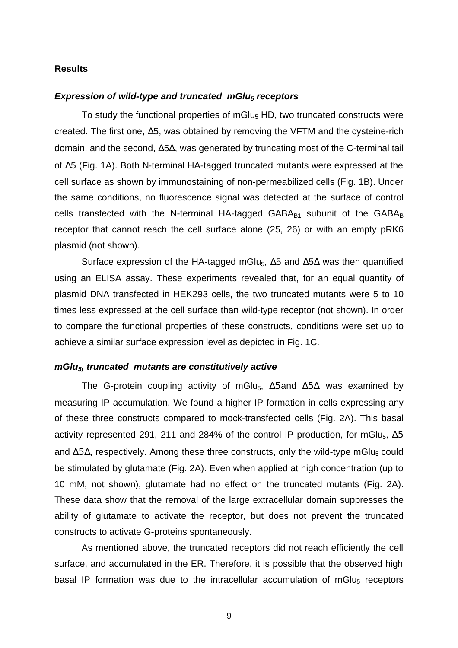#### **Results**

#### *Expression of wild-type and truncated mGlu5 receptors*

To study the functional properties of mGlu $_5$  HD, two truncated constructs were created. The first one, Δ5, was obtained by removing the VFTM and the cysteine-rich domain, and the second, Δ5Δ, was generated by truncating most of the C-terminal tail of Δ5 (Fig. 1A). Both N-terminal HA-tagged truncated mutants were expressed at the cell surface as shown by immunostaining of non-permeabilized cells (Fig. 1B). Under the same conditions, no fluorescence signal was detected at the surface of control cells transfected with the N-terminal HA-tagged  $GABA_{B1}$  subunit of the  $GABA_B$ receptor that cannot reach the cell surface alone (25, 26) or with an empty pRK6 plasmid (not shown).

Surface expression of the HA-tagged mGlu<sub>5</sub>,  $\Delta$ 5 and  $\Delta$ 5 $\Delta$  was then quantified using an ELISA assay. These experiments revealed that, for an equal quantity of plasmid DNA transfected in HEK293 cells, the two truncated mutants were 5 to 10 times less expressed at the cell surface than wild-type receptor (not shown). In order to compare the functional properties of these constructs, conditions were set up to achieve a similar surface expression level as depicted in Fig. 1C.

#### *mGlu5, truncated mutants are constitutively active*

The G-protein coupling activity of mGlu<sub>5</sub>,  $\Delta$ 5 and  $\Delta$ 5 $\Delta$  was examined by measuring IP accumulation. We found a higher IP formation in cells expressing any of these three constructs compared to mock-transfected cells (Fig. 2A). This basal activity represented 291, 211 and 284% of the control IP production, for mGlu<sub>5</sub>,  $\Delta$ 5 and  $\Delta$ 5 $\Delta$ , respectively. Among these three constructs, only the wild-type mGlu<sub>5</sub> could be stimulated by glutamate (Fig. 2A). Even when applied at high concentration (up to 10 mM, not shown), glutamate had no effect on the truncated mutants (Fig. 2A). These data show that the removal of the large extracellular domain suppresses the ability of glutamate to activate the receptor, but does not prevent the truncated constructs to activate G-proteins spontaneously.

As mentioned above, the truncated receptors did not reach efficiently the cell surface, and accumulated in the ER. Therefore, it is possible that the observed high basal IP formation was due to the intracellular accumulation of mGlu $_5$  receptors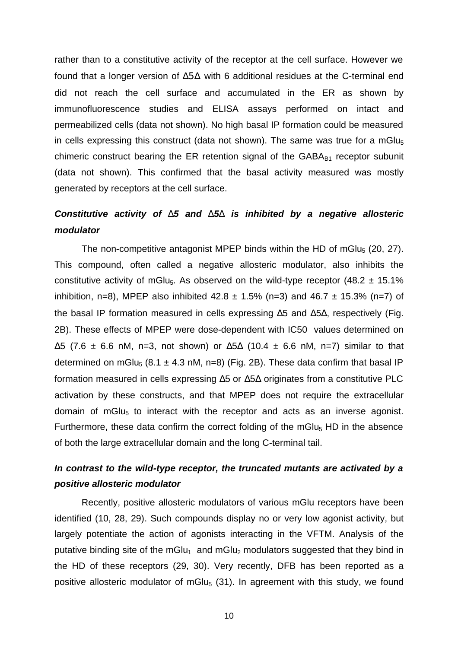rather than to a constitutive activity of the receptor at the cell surface. However we found that a longer version of Δ5Δ with 6 additional residues at the C-terminal end did not reach the cell surface and accumulated in the ER as shown by immunofluorescence studies and ELISA assays performed on intact and permeabilized cells (data not shown). No high basal IP formation could be measured in cells expressing this construct (data not shown). The same was true for a mGlu $_5$ chimeric construct bearing the ER retention signal of the  $GABA_{B1}$  receptor subunit (data not shown). This confirmed that the basal activity measured was mostly generated by receptors at the cell surface.

## *Constitutive activity of D5 and D5D is inhibited by a negative allosteric modulator*

The non-competitive antagonist MPEP binds within the HD of mGlu<sub>5</sub> (20, 27). This compound, often called a negative allosteric modulator, also inhibits the constitutive activity of mGlu<sub>5</sub>. As observed on the wild-type receptor (48.2  $\pm$  15.1%) inhibition, n=8), MPEP also inhibited  $42.8 \pm 1.5\%$  (n=3) and  $46.7 \pm 15.3\%$  (n=7) of the basal IP formation measured in cells expressing Δ5 and Δ5Δ, respectively (Fig. 2B). These effects of MPEP were dose-dependent with IC50 values determined on  $\Delta$ 5 (7.6 ± 6.6 nM, n=3, not shown) or  $\Delta$ 5 $\Delta$  (10.4 ± 6.6 nM, n=7) similar to that determined on mGlu<sub>5</sub> (8.1  $\pm$  4.3 nM, n=8) (Fig. 2B). These data confirm that basal IP formation measured in cells expressing Δ5 or Δ5Δ originates from a constitutive PLC activation by these constructs, and that MPEP does not require the extracellular domain of mGlu<sub>5</sub> to interact with the receptor and acts as an inverse agonist. Furthermore, these data confirm the correct folding of the mGlu<sub>5</sub> HD in the absence of both the large extracellular domain and the long C-terminal tail.

## *In contrast to the wild-type receptor, the truncated mutants are activated by a positive allosteric modulator*

Recently, positive allosteric modulators of various mGlu receptors have been identified (10, 28, 29). Such compounds display no or very low agonist activity, but largely potentiate the action of agonists interacting in the VFTM. Analysis of the putative binding site of the mGlu<sub>1</sub> and mGlu<sub>2</sub> modulators suggested that they bind in the HD of these receptors (29, 30). Very recently, DFB has been reported as a positive allosteric modulator of mGlu<sub>5</sub> (31). In agreement with this study, we found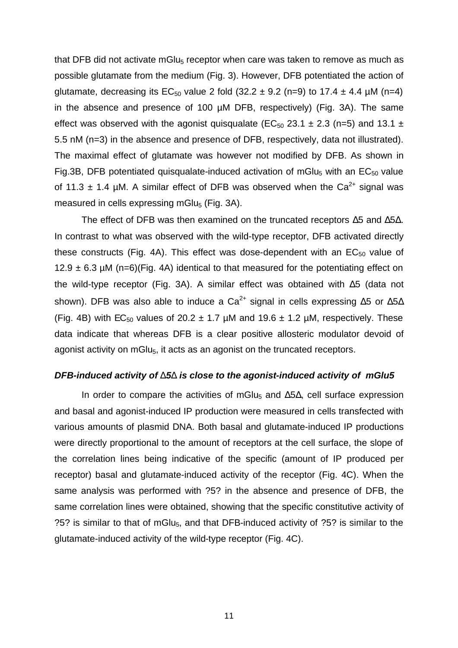that DFB did not activate mGlu<sub>5</sub> receptor when care was taken to remove as much as possible glutamate from the medium (Fig. 3). However, DFB potentiated the action of glutamate, decreasing its  $EC_{50}$  value 2 fold (32.2  $\pm$  9.2 (n=9) to 17.4  $\pm$  4.4 µM (n=4) in the absence and presence of 100 µM DFB, respectively) (Fig. 3A). The same effect was observed with the agonist quisqualate ( $EC_{50}$  23.1  $\pm$  2.3 (n=5) and 13.1  $\pm$ 5.5 nM (n=3) in the absence and presence of DFB, respectively, data not illustrated). The maximal effect of glutamate was however not modified by DFB. As shown in Fig.3B, DFB potentiated quisqualate-induced activation of mGlu<sub>5</sub> with an  $EC_{50}$  value of 11.3  $\pm$  1.4 µM. A similar effect of DFB was observed when the Ca<sup>2+</sup> signal was measured in cells expressing mGlu $_5$  (Fig. 3A).

The effect of DFB was then examined on the truncated receptors Δ5 and Δ5Δ. In contrast to what was observed with the wild-type receptor, DFB activated directly these constructs (Fig. 4A). This effect was dose-dependent with an  $EC_{50}$  value of 12.9  $\pm$  6.3 µM (n=6)(Fig. 4A) identical to that measured for the potentiating effect on the wild-type receptor (Fig. 3A). A similar effect was obtained with Δ5 (data not shown). DFB was also able to induce a Ca<sup>2+</sup> signal in cells expressing  $\Delta$ 5 or  $\Delta$ 5 $\Delta$ (Fig. 4B) with  $EC_{50}$  values of 20.2  $\pm$  1.7 µM and 19.6  $\pm$  1.2 µM, respectively. These data indicate that whereas DFB is a clear positive allosteric modulator devoid of agonist activity on mGlu<sub>5</sub>, it acts as an agonist on the truncated receptors.

#### *DFB-induced activity of D5D is close to the agonist-induced activity of mGlu5*

In order to compare the activities of mGlu<sub>5</sub> and  $\Delta$ 5 $\Delta$ , cell surface expression and basal and agonist-induced IP production were measured in cells transfected with various amounts of plasmid DNA. Both basal and glutamate-induced IP productions were directly proportional to the amount of receptors at the cell surface, the slope of the correlation lines being indicative of the specific (amount of IP produced per receptor) basal and glutamate-induced activity of the receptor (Fig. 4C). When the same analysis was performed with ?5? in the absence and presence of DFB, the same correlation lines were obtained, showing that the specific constitutive activity of ?5? is similar to that of mGlu5, and that DFB-induced activity of ?5? is similar to the glutamate-induced activity of the wild-type receptor (Fig. 4C).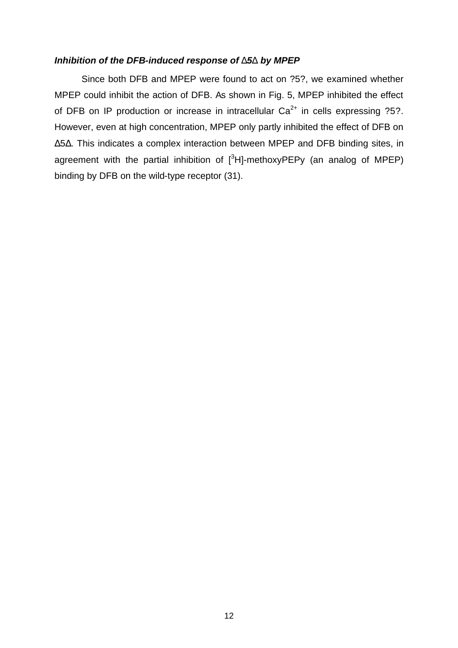## *Inhibition of the DFB-induced response of D5D by MPEP*

Since both DFB and MPEP were found to act on ?5?, we examined whether MPEP could inhibit the action of DFB. As shown in Fig. 5, MPEP inhibited the effect of DFB on IP production or increase in intracellular  $Ca^{2+}$  in cells expressing ?5?. However, even at high concentration, MPEP only partly inhibited the effect of DFB on Δ5Δ. This indicates a complex interaction between MPEP and DFB binding sites, in agreement with the partial inhibition of  $[^{3}H]$ -methoxyPEPy (an analog of MPEP) binding by DFB on the wild-type receptor (31).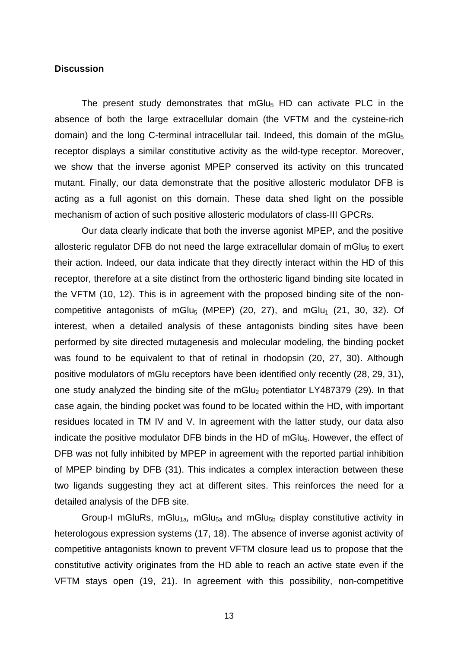#### **Discussion**

The present study demonstrates that mGlu<sub>5</sub> HD can activate PLC in the absence of both the large extracellular domain (the VFTM and the cysteine-rich domain) and the long C-terminal intracellular tail. Indeed, this domain of the mGlu<sub>5</sub> receptor displays a similar constitutive activity as the wild-type receptor. Moreover, we show that the inverse agonist MPEP conserved its activity on this truncated mutant. Finally, our data demonstrate that the positive allosteric modulator DFB is acting as a full agonist on this domain. These data shed light on the possible mechanism of action of such positive allosteric modulators of class-III GPCRs.

Our data clearly indicate that both the inverse agonist MPEP, and the positive allosteric regulator DFB do not need the large extracellular domain of mGlu $_5$  to exert their action. Indeed, our data indicate that they directly interact within the HD of this receptor, therefore at a site distinct from the orthosteric ligand binding site located in the VFTM (10, 12). This is in agreement with the proposed binding site of the noncompetitive antagonists of mGlu<sub>5</sub> (MPEP) (20, 27), and mGlu<sub>1</sub> (21, 30, 32). Of interest, when a detailed analysis of these antagonists binding sites have been performed by site directed mutagenesis and molecular modeling, the binding pocket was found to be equivalent to that of retinal in rhodopsin (20, 27, 30). Although positive modulators of mGlu receptors have been identified only recently (28, 29, 31), one study analyzed the binding site of the mGlu $_2$  potentiator LY487379 (29). In that case again, the binding pocket was found to be located within the HD, with important residues located in TM IV and V. In agreement with the latter study, our data also indicate the positive modulator DFB binds in the HD of mGlu $_5$ . However, the effect of DFB was not fully inhibited by MPEP in agreement with the reported partial inhibition of MPEP binding by DFB (31). This indicates a complex interaction between these two ligands suggesting they act at different sites. This reinforces the need for a detailed analysis of the DFB site.

Group-I mGluRs, mGlu<sub>1a</sub>, mGlu<sub>5a</sub> and mGlu<sub>5b</sub> display constitutive activity in heterologous expression systems (17, 18). The absence of inverse agonist activity of competitive antagonists known to prevent VFTM closure lead us to propose that the constitutive activity originates from the HD able to reach an active state even if the VFTM stays open (19, 21). In agreement with this possibility, non-competitive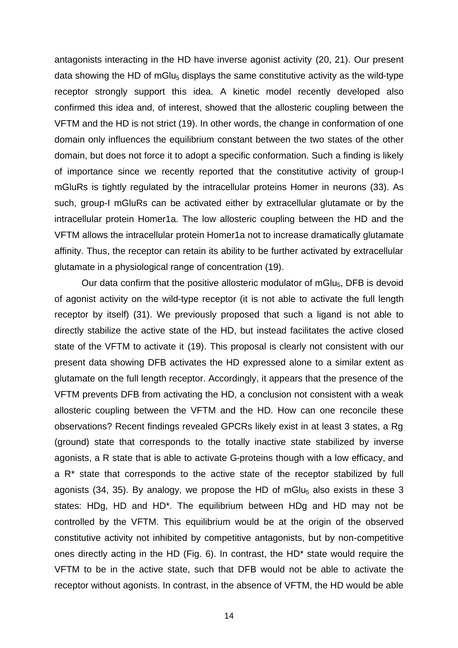antagonists interacting in the HD have inverse agonist activity (20, 21). Our present data showing the HD of mGlu $_5$  displays the same constitutive activity as the wild-type receptor strongly support this idea. A kinetic model recently developed also confirmed this idea and, of interest, showed that the allosteric coupling between the VFTM and the HD is not strict (19). In other words, the change in conformation of one domain only influences the equilibrium constant between the two states of the other domain, but does not force it to adopt a specific conformation. Such a finding is likely of importance since we recently reported that the constitutive activity of group-I mGluRs is tightly regulated by the intracellular proteins Homer in neurons (33). As such, group-I mGluRs can be activated either by extracellular glutamate or by the intracellular protein Homer1a. The low allosteric coupling between the HD and the VFTM allows the intracellular protein Homer1a not to increase dramatically glutamate affinity. Thus, the receptor can retain its ability to be further activated by extracellular glutamate in a physiological range of concentration (19).

Our data confirm that the positive allosteric modulator of mGlu<sub>5</sub>, DFB is devoid of agonist activity on the wild-type receptor (it is not able to activate the full length receptor by itself) (31). We previously proposed that such a ligand is not able to directly stabilize the active state of the HD, but instead facilitates the active closed state of the VFTM to activate it (19). This proposal is clearly not consistent with our present data showing DFB activates the HD expressed alone to a similar extent as glutamate on the full length receptor. Accordingly, it appears that the presence of the VFTM prevents DFB from activating the HD, a conclusion not consistent with a weak allosteric coupling between the VFTM and the HD. How can one reconcile these observations? Recent findings revealed GPCRs likely exist in at least 3 states, a Rg (ground) state that corresponds to the totally inactive state stabilized by inverse agonists, a R state that is able to activate G-proteins though with a low efficacy, and a R\* state that corresponds to the active state of the receptor stabilized by full agonists (34, 35). By analogy, we propose the HD of mGlu $_5$  also exists in these 3 states: HDg, HD and HD\*. The equilibrium between HDg and HD may not be controlled by the VFTM. This equilibrium would be at the origin of the observed constitutive activity not inhibited by competitive antagonists, but by non-competitive ones directly acting in the HD (Fig. 6). In contrast, the HD\* state would require the VFTM to be in the active state, such that DFB would not be able to activate the receptor without agonists. In contrast, in the absence of VFTM, the HD would be able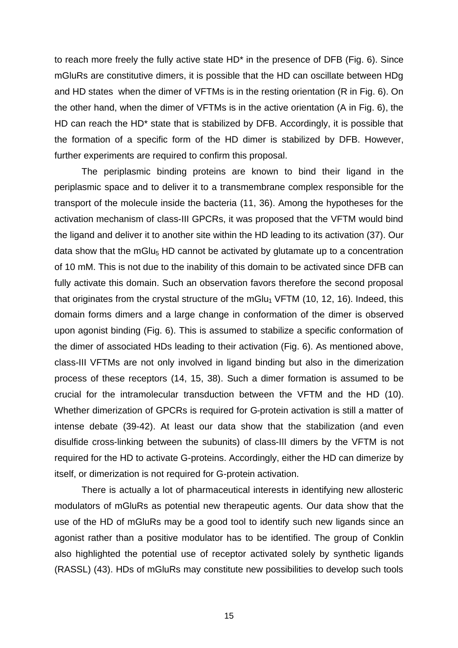to reach more freely the fully active state HD\* in the presence of DFB (Fig. 6). Since mGluRs are constitutive dimers, it is possible that the HD can oscillate between HDg and HD states when the dimer of VFTMs is in the resting orientation (R in Fig. 6). On the other hand, when the dimer of VFTMs is in the active orientation (A in Fig. 6), the HD can reach the HD<sup>\*</sup> state that is stabilized by DFB. Accordingly, it is possible that the formation of a specific form of the HD dimer is stabilized by DFB. However, further experiments are required to confirm this proposal.

The periplasmic binding proteins are known to bind their ligand in the periplasmic space and to deliver it to a transmembrane complex responsible for the transport of the molecule inside the bacteria (11, 36). Among the hypotheses for the activation mechanism of class-III GPCRs, it was proposed that the VFTM would bind the ligand and deliver it to another site within the HD leading to its activation (37). Our data show that the mGlu<sub>5</sub> HD cannot be activated by glutamate up to a concentration of 10 mM. This is not due to the inability of this domain to be activated since DFB can fully activate this domain. Such an observation favors therefore the second proposal that originates from the crystal structure of the mGlu<sub>1</sub> VFTM (10, 12, 16). Indeed, this domain forms dimers and a large change in conformation of the dimer is observed upon agonist binding (Fig. 6). This is assumed to stabilize a specific conformation of the dimer of associated HDs leading to their activation (Fig. 6). As mentioned above, class-III VFTMs are not only involved in ligand binding but also in the dimerization process of these receptors (14, 15, 38). Such a dimer formation is assumed to be crucial for the intramolecular transduction between the VFTM and the HD (10). Whether dimerization of GPCRs is required for G-protein activation is still a matter of intense debate (39-42). At least our data show that the stabilization (and even disulfide cross-linking between the subunits) of class-III dimers by the VFTM is not required for the HD to activate G-proteins. Accordingly, either the HD can dimerize by itself, or dimerization is not required for G-protein activation.

There is actually a lot of pharmaceutical interests in identifying new allosteric modulators of mGluRs as potential new therapeutic agents. Our data show that the use of the HD of mGluRs may be a good tool to identify such new ligands since an agonist rather than a positive modulator has to be identified. The group of Conklin also highlighted the potential use of receptor activated solely by synthetic ligands (RASSL) (43). HDs of mGluRs may constitute new possibilities to develop such tools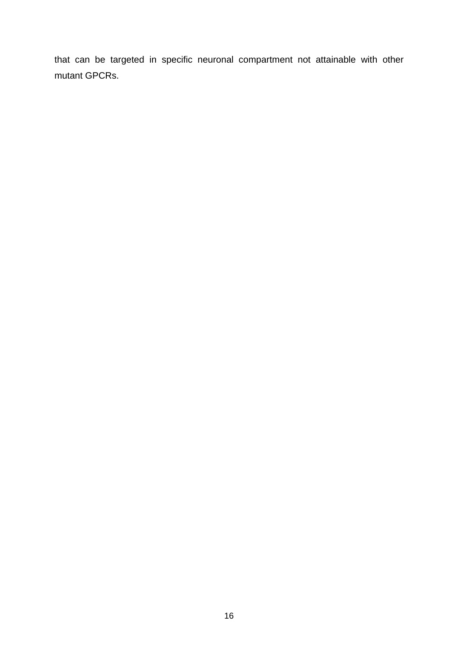that can be targeted in specific neuronal compartment not attainable with other mutant GPCRs.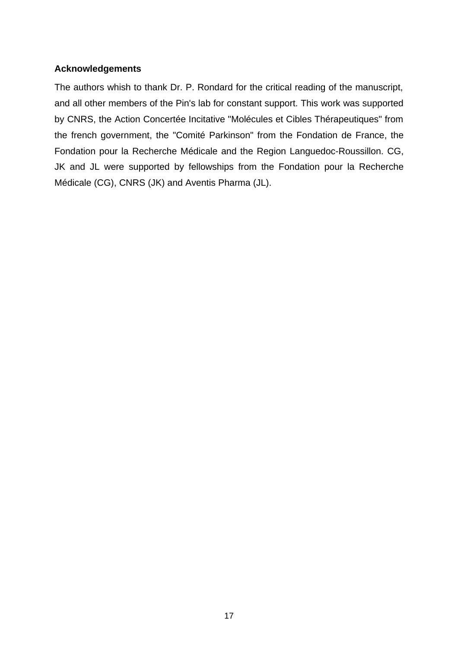## **Acknowledgements**

The authors whish to thank Dr. P. Rondard for the critical reading of the manuscript, and all other members of the Pin's lab for constant support. This work was supported by CNRS, the Action Concertée Incitative "Molécules et Cibles Thérapeutiques" from the french government, the "Comité Parkinson" from the Fondation de France, the Fondation pour la Recherche Médicale and the Region Languedoc-Roussillon. CG, JK and JL were supported by fellowships from the Fondation pour la Recherche Médicale (CG), CNRS (JK) and Aventis Pharma (JL).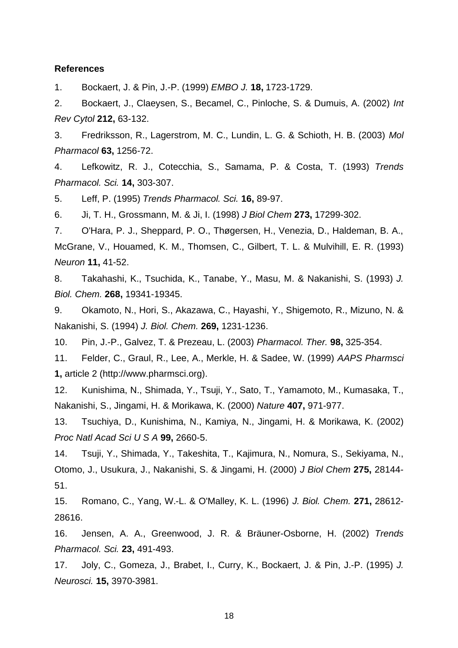#### **References**

1. Bockaert, J. & Pin, J.-P. (1999) *EMBO J.* **18,** 1723-1729.

2. Bockaert, J., Claeysen, S., Becamel, C., Pinloche, S. & Dumuis, A. (2002) *Int Rev Cytol* **212,** 63-132.

3. Fredriksson, R., Lagerstrom, M. C., Lundin, L. G. & Schioth, H. B. (2003) *Mol Pharmacol* **63,** 1256-72.

4. Lefkowitz, R. J., Cotecchia, S., Samama, P. & Costa, T. (1993) *Trends Pharmacol. Sci.* **14,** 303-307.

5. Leff, P. (1995) *Trends Pharmacol. Sci.* **16,** 89-97.

6. Ji, T. H., Grossmann, M. & Ji, I. (1998) *J Biol Chem* **273,** 17299-302.

7. O'Hara, P. J., Sheppard, P. O., Thøgersen, H., Venezia, D., Haldeman, B. A., McGrane, V., Houamed, K. M., Thomsen, C., Gilbert, T. L. & Mulvihill, E. R. (1993) *Neuron* **11,** 41-52.

8. Takahashi, K., Tsuchida, K., Tanabe, Y., Masu, M. & Nakanishi, S. (1993) *J. Biol. Chem.* **268,** 19341-19345.

9. Okamoto, N., Hori, S., Akazawa, C., Hayashi, Y., Shigemoto, R., Mizuno, N. & Nakanishi, S. (1994) *J. Biol. Chem.* **269,** 1231-1236.

10. Pin, J.-P., Galvez, T. & Prezeau, L. (2003) *Pharmacol. Ther.* **98,** 325-354.

11. Felder, C., Graul, R., Lee, A., Merkle, H. & Sadee, W. (1999) *AAPS Pharmsci* **1,** article 2 (http://www.pharmsci.org).

12. Kunishima, N., Shimada, Y., Tsuji, Y., Sato, T., Yamamoto, M., Kumasaka, T., Nakanishi, S., Jingami, H. & Morikawa, K. (2000) *Nature* **407,** 971-977.

13. Tsuchiya, D., Kunishima, N., Kamiya, N., Jingami, H. & Morikawa, K. (2002) *Proc Natl Acad Sci U S A* **99,** 2660-5.

14. Tsuji, Y., Shimada, Y., Takeshita, T., Kajimura, N., Nomura, S., Sekiyama, N., Otomo, J., Usukura, J., Nakanishi, S. & Jingami, H. (2000) *J Biol Chem* **275,** 28144- 51.

15. Romano, C., Yang, W.-L. & O'Malley, K. L. (1996) *J. Biol. Chem.* **271,** 28612- 28616.

16. Jensen, A. A., Greenwood, J. R. & Bräuner-Osborne, H. (2002) *Trends Pharmacol. Sci.* **23,** 491-493.

17. Joly, C., Gomeza, J., Brabet, I., Curry, K., Bockaert, J. & Pin, J.-P. (1995) *J. Neurosci.* **15,** 3970-3981.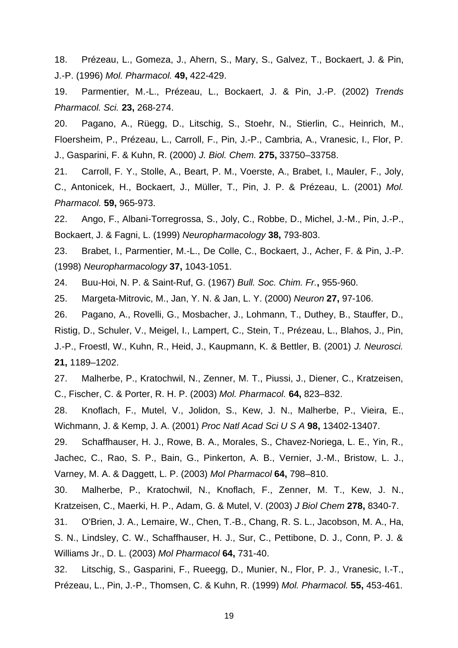18. Prézeau, L., Gomeza, J., Ahern, S., Mary, S., Galvez, T., Bockaert, J. & Pin, J.-P. (1996) *Mol. Pharmacol.* **49,** 422-429.

19. Parmentier, M.-L., Prézeau, L., Bockaert, J. & Pin, J.-P. (2002) *Trends Pharmacol. Sci.* **23,** 268-274.

20. Pagano, A., Rüegg, D., Litschig, S., Stoehr, N., Stierlin, C., Heinrich, M., Floersheim, P., Prézeau, L., Carroll, F., Pin, J.-P., Cambria, A., Vranesic, I., Flor, P. J., Gasparini, F. & Kuhn, R. (2000) *J. Biol. Chem.* **275,** 33750–33758.

21. Carroll, F. Y., Stolle, A., Beart, P. M., Voerste, A., Brabet, I., Mauler, F., Joly, C., Antonicek, H., Bockaert, J., Müller, T., Pin, J. P. & Prézeau, L. (2001) *Mol. Pharmacol.* **59,** 965-973.

22. Ango, F., Albani-Torregrossa, S., Joly, C., Robbe, D., Michel, J.-M., Pin, J.-P., Bockaert, J. & Fagni, L. (1999) *Neuropharmacology* **38,** 793-803.

23. Brabet, I., Parmentier, M.-L., De Colle, C., Bockaert, J., Acher, F. & Pin, J.-P. (1998) *Neuropharmacology* **37,** 1043-1051.

24. Buu-Hoi, N. P. & Saint-Ruf, G. (1967) *Bull. Soc. Chim. Fr.***,** 955-960.

25. Margeta-Mitrovic, M., Jan, Y. N. & Jan, L. Y. (2000) *Neuron* **27,** 97-106.

26. Pagano, A., Rovelli, G., Mosbacher, J., Lohmann, T., Duthey, B., Stauffer, D., Ristig, D., Schuler, V., Meigel, I., Lampert, C., Stein, T., Prézeau, L., Blahos, J., Pin, J.-P., Froestl, W., Kuhn, R., Heid, J., Kaupmann, K. & Bettler, B. (2001) *J. Neurosci.* **21,** 1189–1202.

27. Malherbe, P., Kratochwil, N., Zenner, M. T., Piussi, J., Diener, C., Kratzeisen, C., Fischer, C. & Porter, R. H. P. (2003) *Mol. Pharmacol.* **64,** 823–832.

28. Knoflach, F., Mutel, V., Jolidon, S., Kew, J. N., Malherbe, P., Vieira, E., Wichmann, J. & Kemp, J. A. (2001) *Proc Natl Acad Sci U S A* **98,** 13402-13407.

29. Schaffhauser, H. J., Rowe, B. A., Morales, S., Chavez-Noriega, L. E., Yin, R., Jachec, C., Rao, S. P., Bain, G., Pinkerton, A. B., Vernier, J.-M., Bristow, L. J., Varney, M. A. & Daggett, L. P. (2003) *Mol Pharmacol* **64,** 798–810.

30. Malherbe, P., Kratochwil, N., Knoflach, F., Zenner, M. T., Kew, J. N., Kratzeisen, C., Maerki, H. P., Adam, G. & Mutel, V. (2003) *J Biol Chem* **278,** 8340-7.

31. O'Brien, J. A., Lemaire, W., Chen, T.-B., Chang, R. S. L., Jacobson, M. A., Ha, S. N., Lindsley, C. W., Schaffhauser, H. J., Sur, C., Pettibone, D. J., Conn, P. J. & Williams Jr., D. L. (2003) *Mol Pharmacol* **64,** 731-40.

32. Litschig, S., Gasparini, F., Rueegg, D., Munier, N., Flor, P. J., Vranesic, I.-T., Prézeau, L., Pin, J.-P., Thomsen, C. & Kuhn, R. (1999) *Mol. Pharmacol.* **55,** 453-461.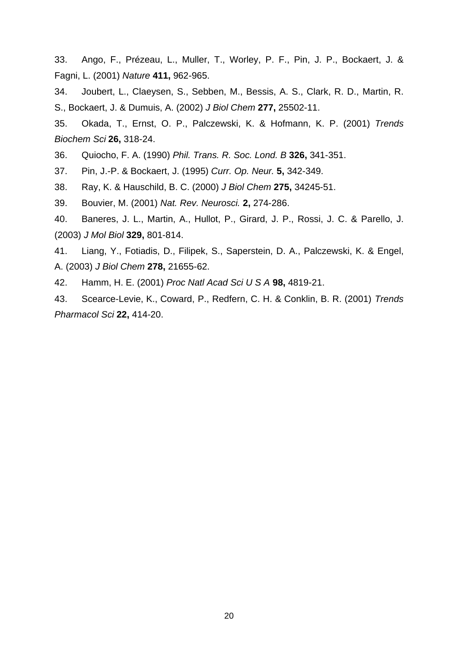33. Ango, F., Prézeau, L., Muller, T., Worley, P. F., Pin, J. P., Bockaert, J. & Fagni, L. (2001) *Nature* **411,** 962-965.

34. Joubert, L., Claeysen, S., Sebben, M., Bessis, A. S., Clark, R. D., Martin, R. S., Bockaert, J. & Dumuis, A. (2002) *J Biol Chem* **277,** 25502-11.

35. Okada, T., Ernst, O. P., Palczewski, K. & Hofmann, K. P. (2001) *Trends Biochem Sci* **26,** 318-24.

36. Quiocho, F. A. (1990) *Phil. Trans. R. Soc. Lond. B* **326,** 341-351.

37. Pin, J.-P. & Bockaert, J. (1995) *Curr. Op. Neur.* **5,** 342-349.

38. Ray, K. & Hauschild, B. C. (2000) *J Biol Chem* **275,** 34245-51.

39. Bouvier, M. (2001) *Nat. Rev. Neurosci.* **2,** 274-286.

40. Baneres, J. L., Martin, A., Hullot, P., Girard, J. P., Rossi, J. C. & Parello, J. (2003) *J Mol Biol* **329,** 801-814.

41. Liang, Y., Fotiadis, D., Filipek, S., Saperstein, D. A., Palczewski, K. & Engel, A. (2003) *J Biol Chem* **278,** 21655-62.

42. Hamm, H. E. (2001) *Proc Natl Acad Sci U S A* **98,** 4819-21.

43. Scearce-Levie, K., Coward, P., Redfern, C. H. & Conklin, B. R. (2001) *Trends Pharmacol Sci* **22,** 414-20.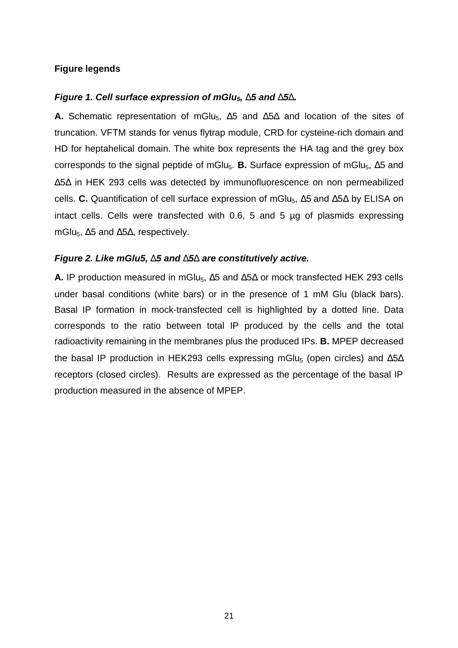## **Figure legends**

#### *Figure 1. Cell surface expression of mGlu5, D5 and D5D.*

**A.** Schematic representation of mGlu<sub>5</sub>, Δ5 and Δ5Δ and location of the sites of truncation. VFTM stands for venus flytrap module, CRD for cysteine-rich domain and HD for heptahelical domain. The white box represents the HA tag and the grey box corresponds to the signal peptide of mGlu<sub>5</sub>. **B.** Surface expression of mGlu<sub>5</sub>, Δ5 and Δ5Δ in HEK 293 cells was detected by immunofluorescence on non permeabilized cells. **C.** Quantification of cell surface expression of mGlu<sub>5</sub>, Δ5 and Δ5Δ by ELISA on intact cells. Cells were transfected with 0.6, 5 and 5 µg of plasmids expressing mGlu<sub>5</sub>,  $\Delta$ 5 and  $\Delta$ 5 $\Delta$ , respectively.

#### *Figure 2. Like mGlu5, D5 and D5D are constitutively active.*

**A.** IP production measured in mGlu<sub>5</sub>,  $\Delta$ 5 and  $\Delta$ 5 $\Delta$  or mock transfected HEK 293 cells under basal conditions (white bars) or in the presence of 1 mM Glu (black bars). Basal IP formation in mock-transfected cell is highlighted by a dotted line. Data corresponds to the ratio between total IP produced by the cells and the total radioactivity remaining in the membranes plus the produced IPs. **B.** MPEP decreased the basal IP production in HEK293 cells expressing mGlu<sub>5</sub> (open circles) and  $\Delta$ 5 $\Delta$ receptors (closed circles). Results are expressed as the percentage of the basal IP production measured in the absence of MPEP.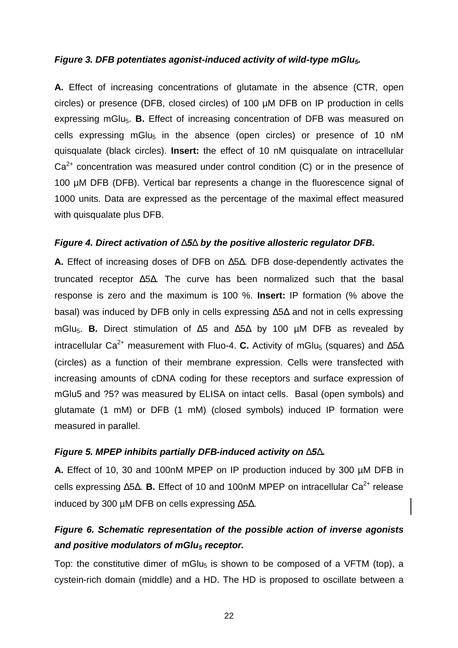#### *Figure 3. DFB potentiates agonist-induced activity of wild-type mGlu5.*

**A.** Effect of increasing concentrations of glutamate in the absence (CTR, open circles) or presence (DFB, closed circles) of 100 µM DFB on IP production in cells expressing mGlu<sub>5</sub>. **B.** Effect of increasing concentration of DFB was measured on cells expressing mGlu<sub>5</sub> in the absence (open circles) or presence of 10 nM quisqualate (black circles). **Insert:** the effect of 10 nM quisqualate on intracellular  $Ca<sup>2+</sup>$  concentration was measured under control condition (C) or in the presence of 100 µM DFB (DFB). Vertical bar represents a change in the fluorescence signal of 1000 units. Data are expressed as the percentage of the maximal effect measured with quisqualate plus DFB.

#### *Figure 4. Direct activation of D5D by the positive allosteric regulator DFB.*

**A.** Effect of increasing doses of DFB on Δ5Δ. DFB dose-dependently activates the truncated receptor Δ5Δ. The curve has been normalized such that the basal response is zero and the maximum is 100 %. **Insert:** IP formation (% above the basal) was induced by DFB only in cells expressing Δ5Δ and not in cells expressing mGlu5. **B.** Direct stimulation of Δ5 and Δ5Δ by 100 µM DFB as revealed by intracellular Ca<sup>2+</sup> measurement with Fluo-4. C. Activity of mGlu<sub>5</sub> (squares) and  $\Delta$ 5 $\Delta$ (circles) as a function of their membrane expression. Cells were transfected with increasing amounts of cDNA coding for these receptors and surface expression of mGlu5 and ?5? was measured by ELISA on intact cells. Basal (open symbols) and glutamate (1 mM) or DFB (1 mM) (closed symbols) induced IP formation were measured in parallel.

#### *Figure 5. MPEP inhibits partially DFB-induced activity on D5D.*

**A.** Effect of 10, 30 and 100nM MPEP on IP production induced by 300 µM DFB in cells expressing Δ5Δ. **B.** Effect of 10 and 100nM MPEP on intracellular Ca<sup>2+</sup> release induced by 300 µM DFB on cells expressing Δ5Δ.

## *Figure 6. Schematic representation of the possible action of inverse agonists and positive modulators of mGlu5 receptor.*

Top: the constitutive dimer of mGlu<sub>5</sub> is shown to be composed of a VFTM (top), a cystein-rich domain (middle) and a HD. The HD is proposed to oscillate between a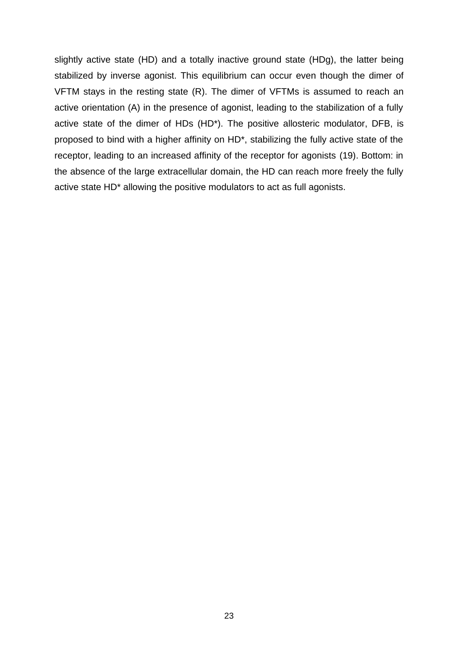slightly active state (HD) and a totally inactive ground state (HDg), the latter being stabilized by inverse agonist. This equilibrium can occur even though the dimer of VFTM stays in the resting state (R). The dimer of VFTMs is assumed to reach an active orientation (A) in the presence of agonist, leading to the stabilization of a fully active state of the dimer of HDs (HD\*). The positive allosteric modulator, DFB, is proposed to bind with a higher affinity on HD\*, stabilizing the fully active state of the receptor, leading to an increased affinity of the receptor for agonists (19). Bottom: in the absence of the large extracellular domain, the HD can reach more freely the fully active state HD\* allowing the positive modulators to act as full agonists.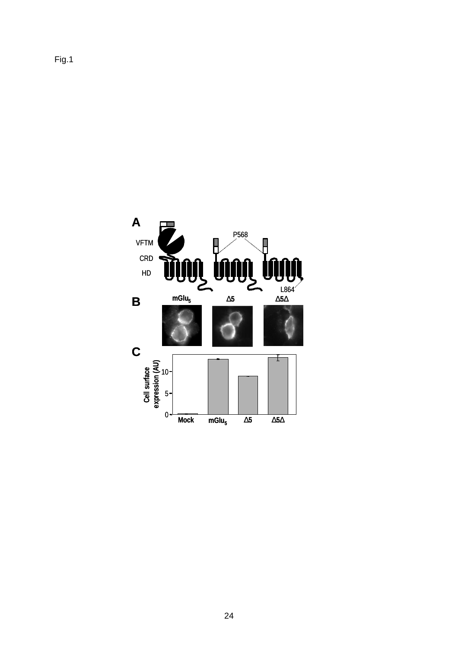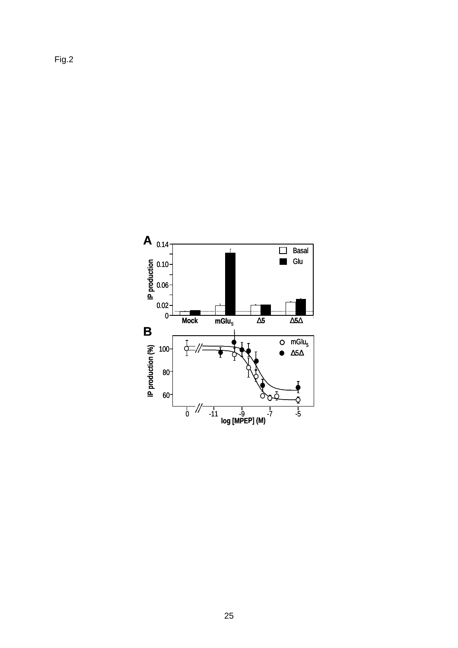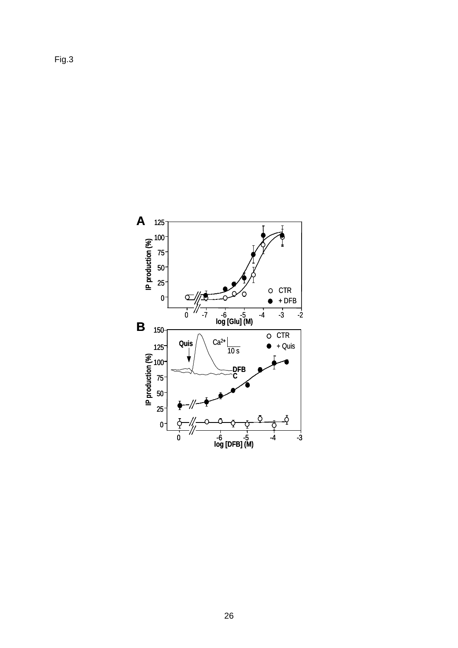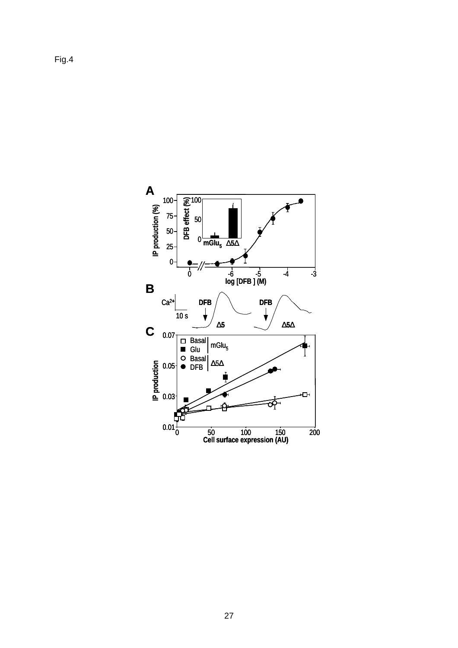Fig.4

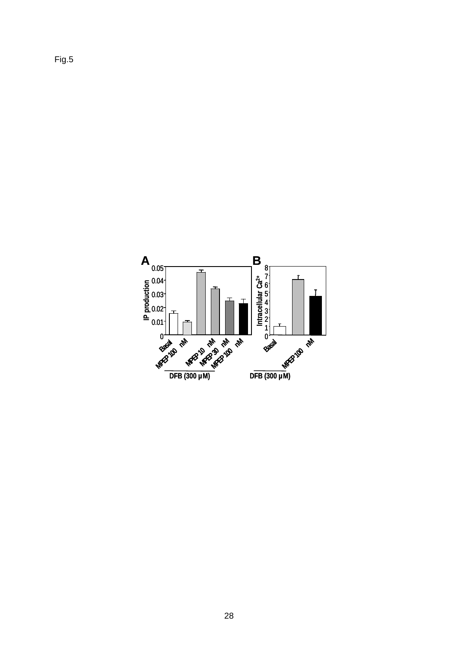